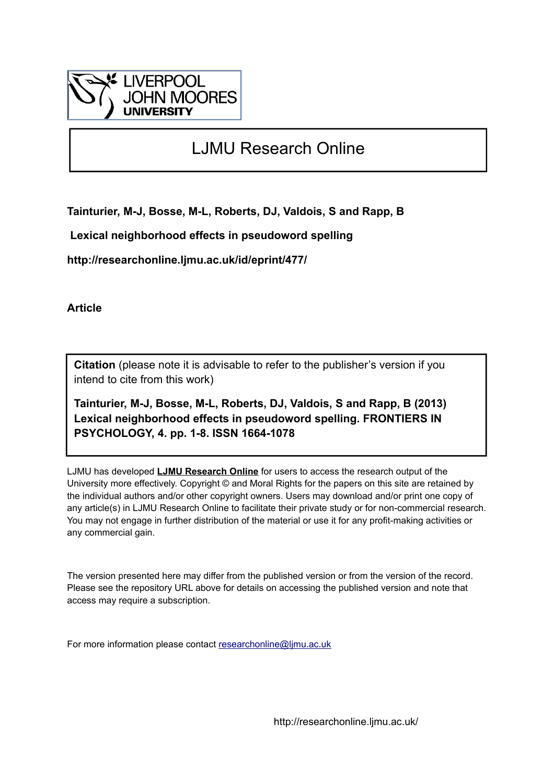

# LJMU Research Online

**Tainturier, M-J, Bosse, M-L, Roberts, DJ, Valdois, S and Rapp, B**

 **Lexical neighborhood effects in pseudoword spelling**

**http://researchonline.ljmu.ac.uk/id/eprint/477/**

**Article**

**Citation** (please note it is advisable to refer to the publisher's version if you intend to cite from this work)

**Tainturier, M-J, Bosse, M-L, Roberts, DJ, Valdois, S and Rapp, B (2013) Lexical neighborhood effects in pseudoword spelling. FRONTIERS IN PSYCHOLOGY, 4. pp. 1-8. ISSN 1664-1078** 

LJMU has developed **[LJMU Research Online](http://researchonline.ljmu.ac.uk/)** for users to access the research output of the University more effectively. Copyright © and Moral Rights for the papers on this site are retained by the individual authors and/or other copyright owners. Users may download and/or print one copy of any article(s) in LJMU Research Online to facilitate their private study or for non-commercial research. You may not engage in further distribution of the material or use it for any profit-making activities or any commercial gain.

The version presented here may differ from the published version or from the version of the record. Please see the repository URL above for details on accessing the published version and note that access may require a subscription.

For more information please contact [researchonline@ljmu.ac.uk](mailto:researchonline@ljmu.ac.uk)

http://researchonline.ljmu.ac.uk/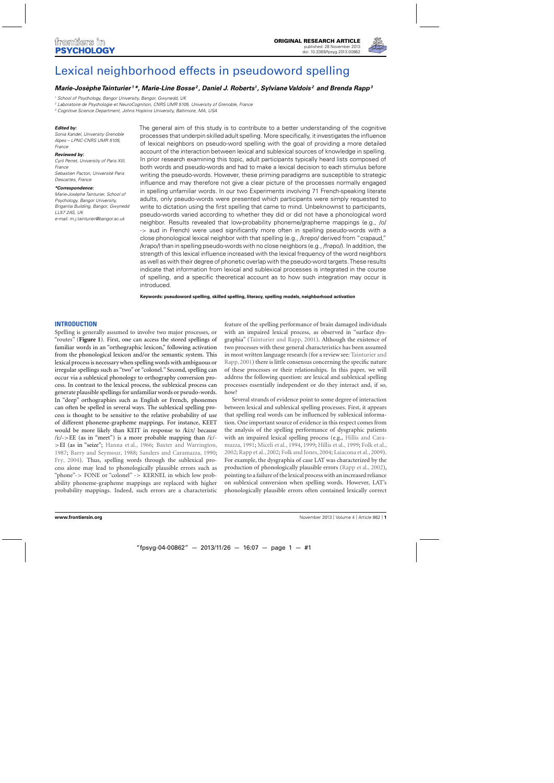

# [Lexical neighborhood effects in pseudoword spelling](http://www.frontiersin.org/journal/10.3389/fpsyg.2013.00862/abstract)

# *[Marie-Josèphe Tainturier](http://www.frontiersin.org/people/u/34262) 1\*, [Marie-Line Bosse](http://community.frontiersin.org/people/Marie-lineBosse/67554)2 , [Daniel J. Roberts1](http://community.frontiersin.org/people/DanielRoberts_1/111407), [Sylviane Valdois](http://community.frontiersin.org/people/SylvianeValdois/10614) <sup>2</sup> and [Brenda Rapp](http://community.frontiersin.org/people/BrendaRapp/33168)3*

<sup>1</sup> School of Psychology, Bangor University, Bangor, Gwynedd, UK

<sup>2</sup> Laboratoire de Psychologie et NeuroCognition, CNRS UMR 5105, University of Grenoble, France

<sup>3</sup> Cognitive Science Department, Johns Hopkins University, Baltimore, MA, USA

#### *Edited by:*

Sonia Kandel, University Grenoble Alpes – LPNC-CNRS UMR 5105, France

#### *Reviewed by:*

Cyril Perret, University of Paris XIII, France Sebastien Pacton, Université Paris Descartes, France

#### *\*Correspondence:*

Marie-Josèphe Tainturier, School of Psychology, Bangor University, Brigantia Building, Bangor, Gwynedd LL57 2AS, UK e-mail: [m.j.tainturier@bangor.ac.uk](mailto:m.j.tainturier@bangor.ac.uk)

The general aim of this study is to contribute to a better understanding of the cognitive processes that underpin skilled adult spelling. More specifically, it investigates the influence of lexical neighbors on pseudo-word spelling with the goal of providing a more detailed account of the interaction between lexical and sublexical sources of knowledge in spelling. In prior research examining this topic, adult participants typically heard lists composed of both words and pseudo-words and had to make a lexical decision to each stimulus before writing the pseudo-words. However, these priming paradigms are susceptible to strategic influence and may therefore not give a clear picture of the processes normally engaged in spelling unfamiliar words. In our two Experiments involving 71 French-speaking literate adults, only pseudo-words were presented which participants were simply requested to write to dictation using the first spelling that came to mind. Unbeknownst to participants, pseudo-words varied according to whether they did or did not have a phonological word neighbor. Results revealed that low-probability phoneme/grapheme mappings (e.g., /o/ -> aud in French) were used significantly more often in spelling pseudo-words with a close phonological lexical neighbor with that spelling (e.g., /krepo/ derived from "crapaud," /krapo/) than in spelling pseudo-words with no close neighbors (e.g., /frøpo/). In addition, the strength of this lexical influence increased with the lexical frequency of the word neighbors as well as with their degree of phonetic overlap with the pseudo-word targets.These results indicate that information from lexical and sublexical processes is integrated in the course of spelling, and a specific theoretical account as to how such integration may occur is introduced.

**Keywords: pseudoword spelling, skilled spelling, literacy, spelling models, neighborhood activation**

## **INTRODUCTION**

Spelling is generally assumed to involve two major processes, or "routes" (**[Figure 1](#page-2-0)**). First, one can access the stored spellings of familiar words in an "orthographic lexicon," following activation from the phonological lexicon and/or the semantic system. This lexical process is necessary when spelling words with ambiguous or irregular spellings such as "two" or "colonel." Second, spelling can occur via a sublexical phonology to orthography conversion process. In contrast to the lexical process, the sublexical process can generate plausible spellings for unfamiliar words or pseudo-words. In "deep" orthographies such as English or French, phonemes can often be spelled in several ways. The sublexical spelling process is thought to be sensitive to the relative probability of use of different phoneme-grapheme mappings. For instance, KEET would be more likely than KEIT in response to /ki:t/ because  $(i:/->EE$  (as in "meet") is a more probable mapping than  $(i:/-)$ >EI (as in "seize"; [Hanna et al.](#page-7-0), [1966](#page-7-0); [Baxter and Warrington](#page-6-0), [1987;](#page-6-0) [Barry and Seymour, 1988;](#page-6-0) [Sanders and Caramazza, 1990](#page-7-0); [Fry](#page-7-0), [2004\)](#page-7-0). Thus, spelling words through the sublexical process alone may lead to phonologically plausible errors such as "phone"-> FONE or "colonel" -> KERNEL in which low probability phoneme-grapheme mappings are replaced with higher probability mappings. Indeed, such errors are a characteristic

feature of the spelling performance of brain damaged individuals with an impaired lexical process, as observed in "surface dysgraphia" [\(Tainturier and Rapp, 2001\)](#page-7-0). Although the existence of two processes with these general characteristics has been assumed in m[ost written language research \(for a review see:](#page-7-0) Tainturier and Rapp, [2001](#page-7-0)) there is little consensus concerning the specific nature of these processes or their relationships. In this paper, we will address the following question: are lexical and sublexical spelling processes essentially independent or do they interact and, if so, how?

Several strands of evidence point to some degree of interaction between lexical and sublexical spelling processes. First, it appears that spelling real words can be influenced by sublexical information. One important source of evidence in this respect comes from the analysis of the spelling performance of dysgraphic patients with [an impaired lexical spelling process \(e.g.,](#page-7-0) Hillis and Caramazza, [1991;](#page-7-0) [Miceli et al., 1994](#page-7-0), [1999](#page-7-0); [Hillis et al., 1999;](#page-7-0) [Folk et al.](#page-7-0), [2002;](#page-7-0) [Rapp et al.](#page-7-0), [2002](#page-7-0); [Folk and Jones](#page-6-0), [2004](#page-6-0); [Laiacona et al., 2009](#page-7-0)). For example, the dysgraphia of case LAT was characterized by the production of phonologically plausible errors [\(Rapp et al.](#page-7-0), [2002\)](#page-7-0), pointing to a failure of the lexical process with an increased reliance on sublexical conversion when spelling words. However, LAT's phonologically plausible errors often contained lexically correct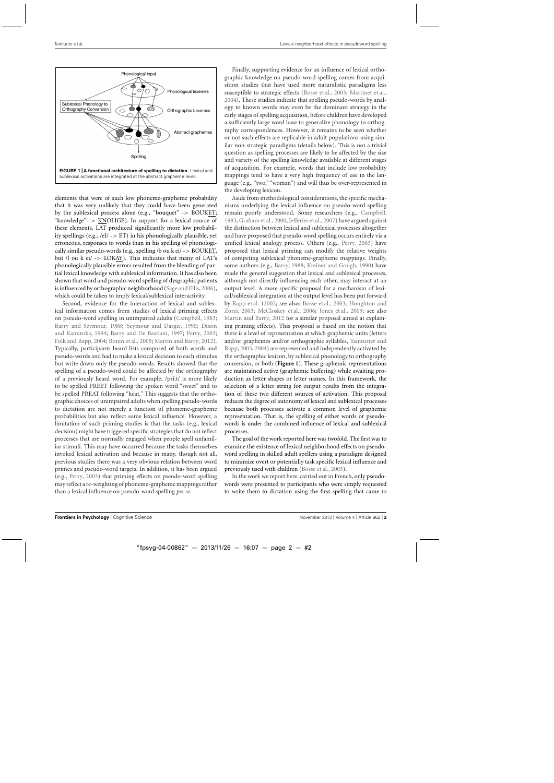<span id="page-2-0"></span>

elements that were of such low phoneme-grapheme probability that it was very unlikely that they could have been generated by the sublexical process alone (e.g., "bouquet" -> BOUKET; "knowledge" -> KNOLIGE). In support for a lexical source of these elements, LAT produced significantly more low probability spellings (e.g.,  $/el/ \rightarrow ET$ ) in his phonologically plausible, yet erroneous, responses to words than in his spelling of phonologically similar pseudo-words (e.g., spelling /b ou k ei/ -> BOUKET, but /l ou k ei/ -> LOKAY). This indicates that many of LAT's phonologically plausible errors resulted from the blending of partial lexical knowledge with sublexical information. It has also been shown that word and pseudo-word spelling of dysgraphic patients is influenced by orthographic neighborhood [\(Sage and Ellis](#page-7-0), [2006\)](#page-7-0), which could be taken to imply lexical/sublexical interactivity.

Second, evidence for the interaction of lexical and sublexical information comes from studies of lexical priming effects on pseudo-word spelling in unimpaired adults [\(Campbell](#page-6-0), [1983;](#page-6-0) [Barry and Seymour](#page-6-0), [1988;](#page-6-0) [Seymour and Dargie](#page-7-0)[,](#page-6-0) [1990](#page-7-0)[;](#page-6-0) Dixon and Kaminska, [1994](#page-6-0); [Barry and De Bastiani, 1997](#page-6-0); [Perry, 2003;](#page-7-0) [Folk and Rapp, 2004](#page-6-0); [Bonin et al., 2005;](#page-6-0) [Martin and Barry, 2012](#page-7-0)). Typically, participants heard lists composed of both words and pseudo-words and had to make a lexical decision to each stimulus but write down only the pseudo-words. Results showed that the spelling of a pseudo-word could be affected by the orthography of a previously heard word. For example, /pri:t/ is more likely to be spelled PREET following the spoken word "sweet" and to be spelled PREAT following "heat." This suggests that the orthographic choices of unimpaired adults when spelling pseudo-words to dictation are not merely a function of phoneme-grapheme probabilities but also reflect some lexical influence. However, a limitation of such priming studies is that the tasks (e.g., lexical decision) might have triggered specific strategies that do not reflect processes that are normally engaged when people spell unfamiliar stimuli. This may have occurred because the tasks themselves invoked lexical activation and because in many, though not all, previous studies there was a very obvious relation between word primes and pseudo-word targets. In addition, it has been argued (e.g., [Perry, 2003](#page-7-0)) that priming effects on pseudo-word spelling may reflect a re-weighting of phoneme-grapheme mappings rather than a lexical influence on pseudo-word spelling *per se*.

Finally, supporting evidence for an influence of lexical orthographic knowledge on pseudo-word spelling comes from acquisition studies that have used more naturalistic paradigms less susceptible to strategic effects [\(Bosse et al.](#page-6-0), [2003;](#page-6-0) [Martinet et al.](#page-7-0), [2004\)](#page-7-0). These studies indicate that spelling pseudo-words by analogy to known words may even be the dominant strategy in the early stages of spelling acquisition, before children have developed a sufficiently large word base to generalize phonology to orthography correspondences. However, it remains to be seen whether or not such effects are replicable in adult populations using similar non-strategic paradigms (details below). This is not a trivial question as spelling processes are likely to be affected by the size and variety of the spelling knowledge available at different stages of acquisition. For example, words that include low probability mappings tend to have a very high frequency of use in the language (e.g., "two," "woman") and will thus be over-represented in the developing lexicon.

Aside from methodological considerations, the specific mechanisms underlying the lexical influence on pseudo-word spelling remain poorly understood. Some researchers (e.g., [Campbell](#page-6-0), [1983;](#page-6-0) [Graham et al., 2000;](#page-7-0) [Jefferies et al.](#page-7-0), [2007](#page-7-0)) have argued against the distinction between lexical and sublexical processes altogether and have proposed that pseudo-word spelling occurs entirely via a unified lexical analogy process. Others (e.g., [Perry, 2003\)](#page-7-0) have proposed that lexical priming can modify the relative weights of competing sublexical phoneme-grapheme mappings. Finally, some authors (e.g., [Barry, 1988;](#page-6-0) [Kreiner and Gough, 1990\)](#page-7-0) have made the general suggestion that lexical and sublexical processes, although not directly influencing each other, may interact at an output level. A more specific proposal for a mechanism of lexical/sublexical integration at the output level has been put forward by [Rapp et al.](#page-7-0) [\(2002](#page-7-0); see also: [Bosse et al.](#page-6-0)[,](#page-7-0) [2003](#page-6-0)[;](#page-7-0) Houghton and Zorzi, [2003;](#page-7-0) [McCloskey et al.](#page-7-0), [2006](#page-7-0); [Jones et al., 2009](#page-7-0); see also [Martin and Barry](#page-7-0), [2012](#page-7-0) for a similar proposal aimed at explaining priming effects). This proposal is based on the notion that there is a level of representation at which graphemic units (letters and/[or graphemes and/or orthographic syllables,](#page-7-0) Tainturier and Rapp, [2003,](#page-7-0) [2004\)](#page-7-0) are represented and independently activated by the orthographic lexicon, by sublexical phonology to orthography conversion, or both (**Figure 1**). These graphemic representations are maintained active (graphemic buffering) while awaiting production as letter shapes or letter names. In this framework, the selection of a letter string for output results from the integration of these two different sources of activation. This proposal reduces the degree of autonomy of lexical and sublexical processes because both processes activate a common level of graphemic representation. That is, the spelling of either words or pseudowords is under the combined influence of lexical and sublexical processes.

The goal of the work reported here was twofold. The first was to examine the existence of lexical neighborhood effects on pseudoword spelling in skilled adult spellers using a paradigm designed to minimize overt or potentially task specific lexical influence and previously used with children [\(Bosse et al.](#page-6-0), [2003\)](#page-6-0).

In the work we report here, carried out in French, only pseudowords were presented to participants who were simply requested to write them to dictation using the first spelling that came to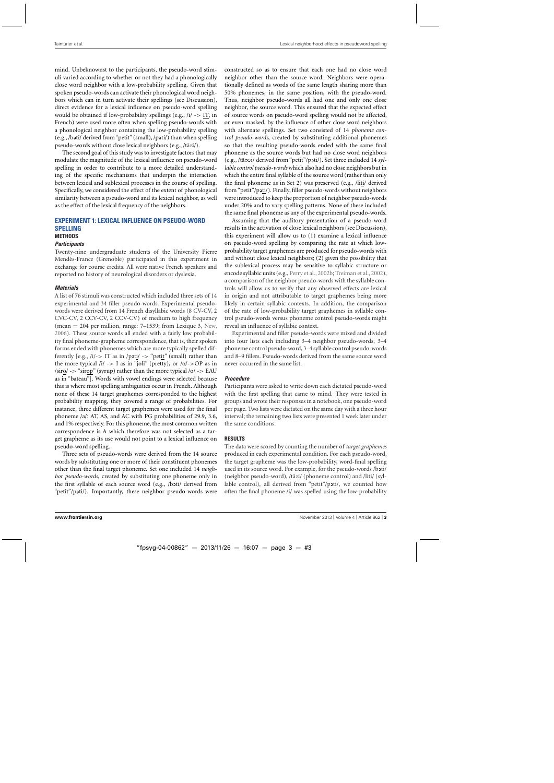mind. Unbeknownst to the participants, the pseudo-word stimuli varied according to whether or not they had a phonologically close word neighbor with a low-probability spelling. Given that spoken pseudo-words can activate their phonological word neighbors which can in turn activate their spellings (see Discussion), direct evidence for a lexical influence on pseudo-word spelling would be obtained if low-probability spellings (e.g.,  $/i \rightarrow IT$ , in French) were used more often when spelling pseudo-words with a phonological neighbor containing the low-probability spelling (e.g., /bati/ derived from "petit" (small), /pati/) than when spelling pseudo-words without close lexical neighbors (e.g., /tãzi/).

The second goal of this study was to investigate factors that may modulate the magnitude of the lexical influence on pseudo-word spelling in order to contribute to a more detailed understanding of the specific mechanisms that underpin the interaction between lexical and sublexical processes in the course of spelling. Specifically, we considered the effect of the extent of phonological similarity between a pseudo-word and its lexical neighbor, as well as the effect of the lexical frequency of the neighbors.

## **EXPERIMENT 1: LEXICAL INFLUENCE ON PSEUDO-WORD SPELLING METHODS**

## *Participants*

Twenty-nine undergraduate students of the University Pierre Mendès-France (Grenoble) participated in this experiment in exchange for course credits. All were native French speakers and reported no history of neurological disorders or dyslexia.

## *Materials*

A list of 76 stimuli was constructed which included three sets of 14 experimental and 34 filler pseudo-words. Experimental pseudowords were derived from 14 French disyllabic words (8 CV-CV, 2 CVC-CV, 2 CCV-CV, 2 CCV-CV) of medium to high frequency (mean  $= 204$  per million, range: 7–1539; from Lexique 3, [New](#page-7-0), [2006\)](#page-7-0). These source words all ended with a fairly low probability final phoneme-grapheme correspondence, that is, their spoken forms ended with phonemes which are more typically spelled differently [e.g.,  $/i/>> IT$  as in /p $\sigma$ ti/ -> "petit" (small) rather than the more typical  $/i' \rightarrow I$  as in "joli" (pretty), or  $/o/->OP$  as in  $\langle \text{siro}/\rightarrow$  "sirop" (syrup) rather than the more typical  $\langle \text{o}/\rightarrow$  EAU as in "bateau"]. Words with vowel endings were selected because this is where most spelling ambiguities occur in French. Although none of these 14 target graphemes corresponded to the highest probability mapping, they covered a range of probabilities. For instance, three different target graphemes were used for the final phoneme /a/: AT, AS, and AC with PG probabilities of 29.9, 3.6, and 1% respectively. For this phoneme, the most common written correspondence is A which therefore was not selected as a target grapheme as its use would not point to a lexical influence on pseudo-word spelling.

Three sets of pseudo-words were derived from the 14 source words by substituting one or more of their constituent phonemes other than the final target phoneme. Set one included 14 *neighbor pseudo-words*, created by substituting one phoneme only in the first syllable of each source word (e.g., /bati/ derived from "petit"/pati/). Importantly, these neighbor pseudo-words were

constructed so as to ensure that each one had no close word neighbor other than the source word. Neighbors were operationally defined as words of the same length sharing more than 50% phonemes, in the same position, with the pseudo-word. Thus, neighbor pseudo-words all had one and only one close neighbor, the source word. This ensured that the expected effect of source words on pseudo-word spelling would not be affected, or even masked, by the influence of other close word neighbors with alternate spellings. Set two consisted of 14 *phoneme control pseudo-words*, created by substituting additional phonemes so that the resulting pseudo-words ended with the same final phoneme as the source words but had no close word neighbors (e.g., /tã∞i/ derived from "petit"/p ti/). Set three included 14 *syllable control pseudo-words* which also had no close neighbors but in which the entire final syllable of the source word (rather than only the final phoneme as in Set 2) was preserved (e.g., /liti/ derived from "petit"/pati/). Finally, filler pseudo-words without neighbors were introduced to keep the proportion of neighbor pseudo-words under 20% and to vary spelling patterns. None of these included the same final phoneme as any of the experimental pseudo-words.

Assuming that the auditory presentation of a pseudo-word results in the activation of close lexical neighbors (see Discussion), this experiment will allow us to (1) examine a lexical influence on pseudo-word spelling by comparing the rate at which lowprobability target graphemes are produced for pseudo-words with and without close lexical neighbors; (2) given the possibility that the sublexical process may be sensitive to syllabic structure or encode syllabic units (e.g., [Perry et al., 2002b](#page-7-0); [Treiman et al., 2002\)](#page-7-0), a comparison of the neighbor pseudo-words with the syllable controls will allow us to verify that any observed effects are lexical in origin and not attributable to target graphemes being more likely in certain syllabic contexts. In addition, the comparison of the rate of low-probability target graphemes in syllable control pseudo-words versus phoneme control pseudo-words might reveal an influence of syllabic context.

Experimental and filler pseudo-words were mixed and divided into four lists each including 3–4 neighbor pseudo-words, 3–4 phoneme control pseudo-word, 3–4 syllable control pseudo-words and 8–9 fillers. Pseudo-words derived from the same source word never occurred in the same list.

## *Procedure*

Participants were asked to write down each dictated pseudo-word with the first spelling that came to mind. They were tested in groups and wrote their responses in a notebook, one pseudo-word per page. Two lists were dictated on the same day with a three hour interval; the remaining two lists were presented 1 week later under the same conditions.

#### **RESULTS**

The data were scored by counting the number of *target graphemes* produced in each experimental condition. For each pseudo-word, the target grapheme was the low-probability, word-final spelling used in its source word. For example, for the pseudo-words /bati/ (neighbor pseudo-word), /tãzi/ (phoneme control) and /liti/ (syllable control), all derived from "petit"/pati/, we counted how often the final phoneme /i/ was spelled using the low-probability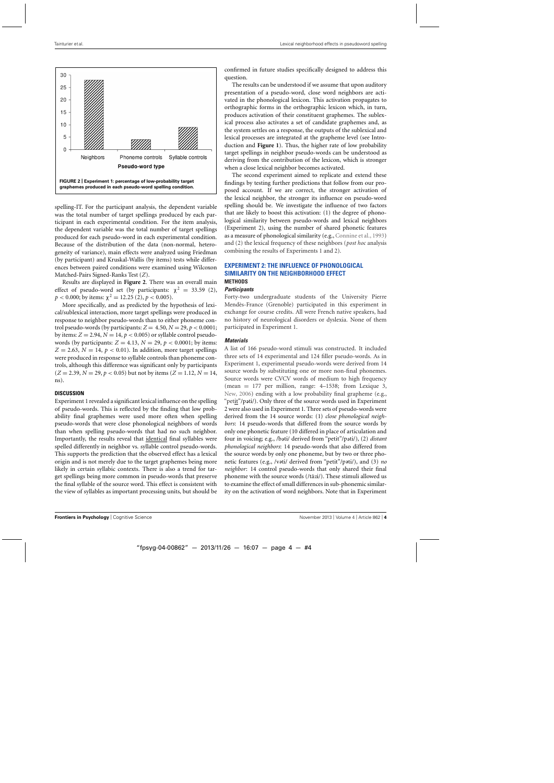

spelling-IT. For the participant analysis, the dependent variable was the total number of target spellings produced by each participant in each experimental condition. For the item analysis, the dependent variable was the total number of target spellings produced for each pseudo-word in each experimental condition. Because of the distribution of the data (non-normal, heterogeneity of variance), main effects were analyzed using Friedman (by participant) and Kruskal-Wallis (by items) tests while differences between paired conditions were examined using Wilcoxon Matched-Pairs Signed-Ranks Test (*Z*).

Results are displayed in **Figure 2**. There was an overall main effect of pseudo-word set (by participants:  $\chi^2 = 33.59$  (2),  $p < 0.000$ ; by items:  $\chi^2 = 12.25$  (2),  $p < 0.005$ ).

More specifically, and as predicted by the hypothesis of lexical/sublexical interaction, more target spellings were produced in response to neighbor pseudo-words than to either phoneme control pseudo-words (by participants:  $Z = 4.50, N = 29, p < 0.0001;$ by items:  $Z = 2.94$ ,  $N = 14$ ,  $p < 0.005$ ) or syllable control pseudowords (by participants:  $Z = 4.13$ ,  $N = 29$ ,  $p < 0.0001$ ; by items:  $Z = 2.63$ ,  $N = 14$ ,  $p < 0.01$ ). In addition, more target spellings were produced in response to syllable controls than phoneme controls, although this difference was significant only by participants  $(Z = 2.39, N = 29, p < 0.05)$  but not by items  $(Z = 1.12, N = 14,$ ns).

#### **DISCUSSION**

Experiment 1 revealed a significant lexical influence on the spelling of pseudo-words. This is reflected by the finding that low probability final graphemes were used more often when spelling pseudo-words that were close phonological neighbors of words than when spelling pseudo-words that had no such neighbor. Importantly, the results reveal that identical final syllables were spelled differently in neighbor vs. syllable control pseudo-words. This supports the prediction that the observed effect has a lexical origin and is not merely due to the target graphemes being more likely in certain syllabic contexts. There is also a trend for target spellings being more common in pseudo-words that preserve the final syllable of the source word. This effect is consistent with the view of syllables as important processing units, but should be

confirmed in future studies specifically designed to address this question.

The results can be understood if we assume that upon auditory presentation of a pseudo-word, close word neighbors are activated in the phonological lexicon. This activation propagates to orthographic forms in the orthographic lexicon which, in turn, produces activation of their constituent graphemes. The sublexical process also activates a set of candidate graphemes and, as the system settles on a response, the outputs of the sublexical and lexical processes are integrated at the grapheme level (see Introduction and **[Figure 1](#page-2-0)**). Thus, the higher rate of low probability target spellings in neighbor pseudo-words can be understood as deriving from the contribution of the lexicon, which is stronger when a close lexical neighbor becomes activated.

The second experiment aimed to replicate and extend these findings by testing further predictions that follow from our proposed account. If we are correct, the stronger activation of the lexical neighbor, the stronger its influence on pseudo-word spelling should be. We investigate the influence of two factors that are likely to boost this activation: (1) the degree of phonological similarity between pseudo-words and lexical neighbors (Experiment 2), using the number of shared phonetic features as a measure of phonological similarity (e.g., [Connine et al., 1993\)](#page-6-0) and (2) the lexical frequency of these neighbors (*post hoc* analysis combining the results of Experiments 1 and 2).

## **EXPERIMENT 2: THE INFLUENCE OF PHONOLOGICAL SIMILARITY ON THE NEIGHBORHOOD EFFECT METHODS**

#### *Participants*

Forty-two undergraduate students of the University Pierre Mendès-France (Grenoble) participated in this experiment in exchange for course credits. All were French native speakers, had no history of neurological disorders or dyslexia. None of them participated in Experiment 1.

## *Materials*

A list of 166 pseudo-word stimuli was constructed. It included three sets of 14 experimental and 124 filler pseudo-words. As in Experiment 1, experimental pseudo-words were derived from 14 source words by substituting one or more non-final phonemes. Source words were CVCV words of medium to high frequency (mean = 177 per million, range: 4–1538; from Lexique 3, [New, 2006](#page-7-0)) ending with a low probability final grapheme (e.g., "petit"/pati/). Only three of the source words used in Experiment 2 were also used in Experiment 1. Three sets of pseudo-words were derived from the 14 source words: (1) *close phonological neighbors*: 14 pseudo-words that differed from the source words by only one phonetic feature (10 differed in place of articulation and four in voicing; e.g., /bəti/ derived from "petit"/pəti/), (2) *distant phonological neighbors*: 14 pseudo-words that also differed from the source words by only one phoneme, but by two or three phonetic features (e.g., /vəti/ derived from "petit"/pəti/), and (3) no *neighbor*: 14 control pseudo-words that only shared their final phoneme with the source words (/tãzi/). These stimuli allowed us to examine the effect of small differences in sub-phonemic similarity on the activation of word neighbors. Note that in Experiment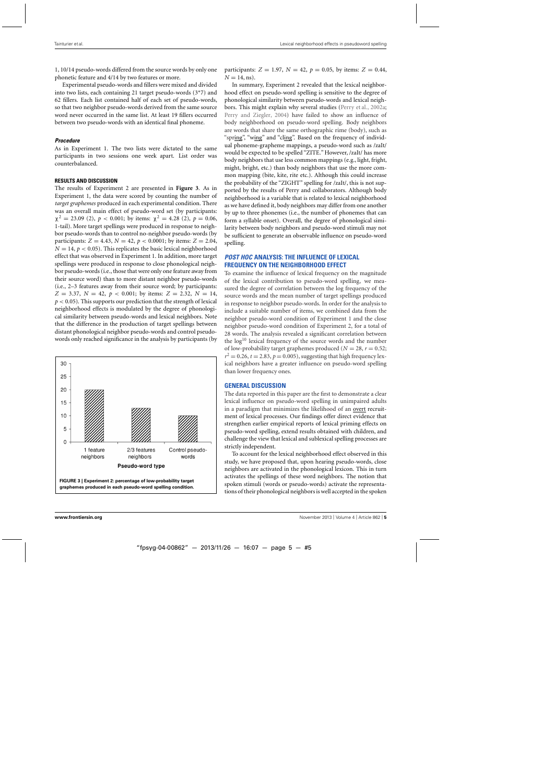1, 10/14 pseudo-words differed from the source words by only one phonetic feature and 4/14 by two features or more.

Experimental pseudo-words and fillers were mixed and divided into two lists, each containing 21 target pseudo-words (3\*7) and 62 fillers. Each list contained half of each set of pseudo-words, so that two neighbor pseudo-words derived from the same source word never occurred in the same list. At least 19 fillers occurred between two pseudo-words with an identical final phoneme.

## *Procedure*

As in Experiment 1. The two lists were dictated to the same participants in two sessions one week apart. List order was counterbalanced.

## **RESULTS AND DISCUSSION**

The results of Experiment 2 are presented in **Figure 3**. As in Experiment 1, the data were scored by counting the number of *target graphemes* produced in each experimental condition. There was an overall main effect of pseudo-word set (by participants:  $\chi^2 = 23.09$  (2),  $p < 0.001$ ; by items:  $\chi^2 = 4.28$  (2),  $p = 0.06$ , 1-tail). More target spellings were produced in response to neighbor pseudo-words than to control no-neighbor pseudo-words (by participants:  $Z = 4.43$ ,  $N = 42$ ,  $p < 0.0001$ ; by items:  $Z = 2.04$ ,  $N = 14$ ,  $p < 0.05$ ). This replicates the basic lexical neighborhood effect that was observed in Experiment 1. In addition, more target spellings were produced in response to close phonological neighbor pseudo-words (i.e., those that were only one feature away from their source word) than to more distant neighbor pseudo-words (i.e., 2–3 features away from their source word; by participants:  $Z = 3.37$ ,  $N = 42$ ,  $p < 0.001$ ; by items:  $Z = 2.32$ ,  $N = 14$ ,  $p < 0.05$ ). This supports our prediction that the strength of lexical neighborhood effects is modulated by the degree of phonological similarity between pseudo-words and lexical neighbors. Note that the difference in the production of target spellings between distant phonological neighbor pseudo-words and control pseudowords only reached significance in the analysis by participants (by



participants:  $Z = 1.97$ ,  $N = 42$ ,  $p = 0.05$ , by items:  $Z = 0.44$ ,  $N = 14$ , ns).

In summary, Experiment 2 revealed that the lexical neighborhood effect on pseudo-word spelling is sensitive to the degree of phonological similarity between pseudo-words and lexical neighbors. This might explain why several studies [\(Perry et al., 2002a;](#page-7-0) [Perry and Ziegler](#page-7-0), [2004](#page-7-0)) have failed to show an influence of body neighborhood on pseudo-word spelling. Body neighbors are words that share the same orthographic rime (body), such as "spring", "wing" and "cling". Based on the frequency of individual phoneme-grapheme mappings, a pseudo-word such as /zaIt/ would be expected to be spelled "ZITE." However, /zaIt/ has more body neighbors that use less common mappings (e.g., light, fright, might, bright, etc.) than body neighbors that use the more common mapping (bite, kite, rite etc.). Although this could increase the probability of the "ZIGHT" spelling for /zaIt/, this is not supported by the results of Perry and collaborators. Although body neighborhood is a variable that is related to lexical neighborhood as we have defined it, body neighbors may differ from one another by up to three phonemes (i.e., the number of phonemes that can form a syllable onset). Overall, the degree of phonological similarity between body neighbors and pseudo-word stimuli may not be sufficient to generate an observable influence on pseudo-word spelling.

## *POST HOC* **ANALYSIS: THE INFLUENCE OF LEXICAL FREQUENCY ON THE NEIGHBORHOOD EFFECT**

To examine the influence of lexical frequency on the magnitude of the lexical contribution to pseudo-word spelling, we measured the degree of correlation between the log frequency of the source words and the mean number of target spellings produced in response to neighbor pseudo-words. In order for the analysis to include a suitable number of items, we combined data from the neighbor pseudo-word condition of Experiment 1 and the close neighbor pseudo-word condition of Experiment 2, for a total of 28 words. The analysis revealed a significant correlation between the  $log<sup>10</sup>$  lexical frequency of the source words and the number of low-probability target graphemes produced ( $N = 28$ ,  $r = 0.52$ ;  $r^2 = 0.26$ ,  $t = 2.83$ ,  $p = 0.005$ ), suggesting that high frequency lexical neighbors have a greater influence on pseudo-word spelling than lower frequency ones.

## **GENERAL DISCUSSION**

The data reported in this paper are the first to demonstrate a clear lexical influence on pseudo-word spelling in unimpaired adults in a paradigm that minimizes the likelihood of an overt recruitment of lexical processes. Our findings offer direct evidence that strengthen earlier empirical reports of lexical priming effects on pseudo-word spelling, extend results obtained with children, and challenge the view that lexical and sublexical spelling processes are strictly independent.

To account for the lexical neighborhood effect observed in this study, we have proposed that, upon hearing pseudo-words, close neighbors are activated in the phonological lexicon. This in turn activates the spellings of these word neighbors. The notion that spoken stimuli (words or pseudo-words) activate the representations of their phonological neighbors is well accepted in the spoken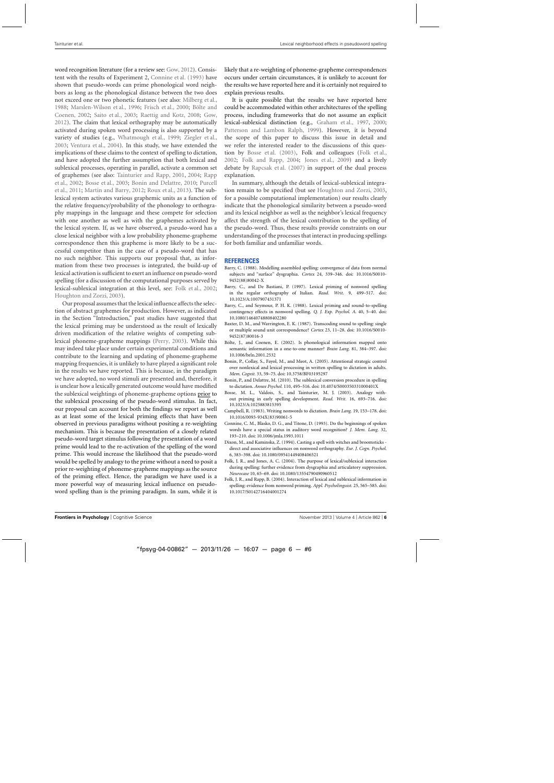<span id="page-6-0"></span>word recognition literature (for a review see: [Gow](#page-7-0), [2012](#page-7-0)). Consistent with the results of Experiment 2, Connine et al. (1993) have shown that pseudo-words can prime phonological word neighbors as long as the phonological distance between the two does not exceed one or two phonetic features (see also: [Milberg et al.](#page-7-0), [1988;](#page-7-0) [Marslen-Wilson et al., 1996](#page-7-0); [Frisch et al.](#page-7-0), [2000;](#page-7-0) Bölte and Coenen, 2002; [Saito et al.](#page-7-0), [2003](#page-7-0); [Raettig and Kotz, 2008;](#page-7-0) [Gow](#page-7-0), [2012\)](#page-7-0). The claim that lexical orthography may be automatically activated during spoken word processing is also supported by a variety of studies (e.g., [Whatmough et al., 1999](#page-7-0); [Ziegler et al.](#page-7-0), [2003;](#page-7-0) [Ventura et al.](#page-7-0), [2004\)](#page-7-0). In this study, we have extended the implications of these claims to the context of spelling to dictation, and have adopted the further assumption that both lexical and sublexical processes, operating in parallel, activate a common set of graphemes (see also: [Tainturier and Rapp, 2001,](#page-7-0) [2004](#page-7-0); Rapp et al., [2002](#page-7-0); Bosse et al., 2003; [Bonin and Delattre, 2010;](#page-7-0) Purcell et al., [2011;](#page-7-0) [Martin and Barry](#page-7-0), [2012](#page-7-0); [Roux et al.](#page-7-0), [2013](#page-7-0)). The sublexical system activates various graphemic units as a function of the relative frequency/probability of the phonology to orthography mappings in the language and these compete for selection with one another as well as with the graphemes activated by the lexical system. If, as we have observed, a pseudo-word has a close lexical neighbor with a low probability phoneme-grapheme correspondence then this grapheme is more likely to be a successful competitor than in the case of a pseudo-word that has no such neighbor. This supports our proposal that, as information from these two processes is integrated, the build-up of lexical activation is sufficient to exert an influence on pseudo-word spelling (for a discussion of the computational purposes served by lexical-sublexical integration at this level, see: [Folk et al.](#page-7-0), [2002;](#page-7-0) [Houghton and Zorzi, 2003](#page-7-0)).

Our proposal assumes that the lexical influence affects the selection of abstract graphemes for production. However, as indicated in the Section "Introduction," past studies have suggested that the lexical priming may be understood as the result of lexically driven modification of the relative weights of competing sublexical phoneme-grapheme mappings [\(Perry](#page-7-0), [2003](#page-7-0)). While this may indeed take place under certain experimental conditions and contribute to the learning and updating of phoneme-grapheme mapping frequencies, it is unlikely to have played a significant role in the results we have reported. This is because, in the paradigm we have adopted, no word stimuli are presented and, therefore, it is unclear how a lexically generated outcome would have modified the sublexical weightings of phoneme-grapheme options prior to the sublexical processing of the pseudo-word stimulus. In fact, our proposal can account for both the findings we report as well as at least some of the lexical priming effects that have been observed in previous paradigms without positing a re-weighting mechanism. This is because the presentation of a closely related pseudo-word target stimulus following the presentation of a word prime would lead to the re-activation of the spelling of the word prime. This would increase the likelihood that the pseudo-word would be spelled by analogy to the prime without a need to posit a prior re-weighting of phoneme-grapheme mappings as the source of the priming effect. Hence, the paradigm we have used is a more powerful way of measuring lexical influence on pseudoword spelling than is the priming paradigm. In sum, while it is

likely that a re-weighting of phoneme-grapheme correspondences occurs under certain circumstances, it is unlikely to account for the results we have reported here and it is certainly not required to explain previous results.

It is quite possible that the results we have reported here could be accommodated within other architectures of the spelling process, including frameworks that do not assume an explicit lexical-sublexical distinction (e.g., [Graham et al.](#page-7-0), [1997,](#page-7-0) [2000;](#page-7-0) [Patterson and Lambon Ralph](#page-7-0), [1999](#page-7-0)). However, it is beyond the scope of this paper to discuss this issue in detail and we refer the interested reader to the discussions of this question by Bosse et al. (2003), Folk and colleagues [\(Folk et al.](#page-7-0), [2002;](#page-7-0) Folk and Rapp, 2004; [Jones et al.](#page-7-0), [2009](#page-7-0)) and a lively debate by [Rapcsak et al.](#page-7-0) [\(2007](#page-7-0)) in support of the dual process explanation.

In summary, although the details of lexical-sublexical integration remain to be specified (but see [Houghton and Zorzi, 2003](#page-7-0), for a possible computational implementation) our results clearly indicate that the phonological similarity between a pseudo-word and its lexical neighbor as well as the neighbor's lexical frequency affect the strength of the lexical contribution to the spelling of the pseudo-word. Thus, these results provide constraints on our understanding of the processes that interact in producing spellings for both familiar and unfamiliar words.

#### **REFERENCES**

- Barry, C. (1988). Modelling assembled spelling: convergence of data from normal subjects and "surface" dysgraphia. *Cortex* 24, 339–346. doi: 10.1016/S0010- 9452(88)80042-X
- Barry, C., and De Bastiani, P. (1997). Lexical priming of nonword spelling in the regular orthography of Italian. *Read. Writ.* 9, 499–517. doi: 10.1023/A:1007907431371
- Barry, C., and Seymour, P. H. K. (1988). Lexical priming and sound-to-spelling contingency effects in nonword spelling. *Q. J. Exp. Psychol. A.* 40, 5–40. doi: 10.1080/14640748808402280
- Baxter, D. M., and Warrington, E. K. (1987). Transcoding sound to spelling: single or multiple sound unit correspondence? *Cortex* 23, 11–28. doi: 10.1016/S0010- 9452(87)80016-3
- Bölte, J., and Coenen, E. (2002). Is phonological information mapped onto semantic information in a one-to-one manner? *Brain Lang*. 81, 384–397. doi: 10.1006/brln.2001.2532
- Bonin, P., Collay, S., Fayol, M., and Meot, A. (2005). Attentional strategic control over nonlexical and lexical processing in written spelling to dictation in adults. *Mem. Cognit.* 33, 59–75. doi: 10.3758/BF03195297
- Bonin, P., and Delattre, M. (2010). The sublexical conversion procedure in spelling to dictation. *Annee Psychol.* 110, 495–516. doi: 10.4074/S000350331000401X
- Bosse, M. L., Valdois, S., and Tainturier, M. J. (2003). Analogy without priming in early spelling development. *Read. Writ.* 16, 693–716. doi: 10.1023/A:1025883815395
- Campbell, R. (1983). Writing nonwords to dictation. *Brain Lang.* 19, 153–178. doi: 10.1016/0093-934X(83)90061-5
- Connine, C. M., Blasko, D. G., and Titone, D. (1993). Do the beginnings of spoken words have a special status in auditory word recognition? *J. Mem. Lang*. 32, 193–210. doi: 10.1006/jmla.1993.1011
- Dixon, M., and Kaminska, Z. (1994). Casting a spell with witches and broomsticks direct and associative influences on nonword orthography. *Eur. J. Cogn. Psychol.* 6, 383–398. doi: 10.1080/09541449408406521
- Folk, J. R., and Jones, A. C. (2004). The purpose of lexical/sublexical interaction during spelling: further evidence from dysgraphia and articulatory suppression. *Neurocase* 10, 65–69. doi: 10.1080/13554790490960512
- Folk, J. R., and Rapp, B. (2004). Interaction of lexical and sublexical information in spelling: evidence from nonword priming. *Appl. Psycholinguist.* 25, 565–585. doi: 10.1017/S0142716404001274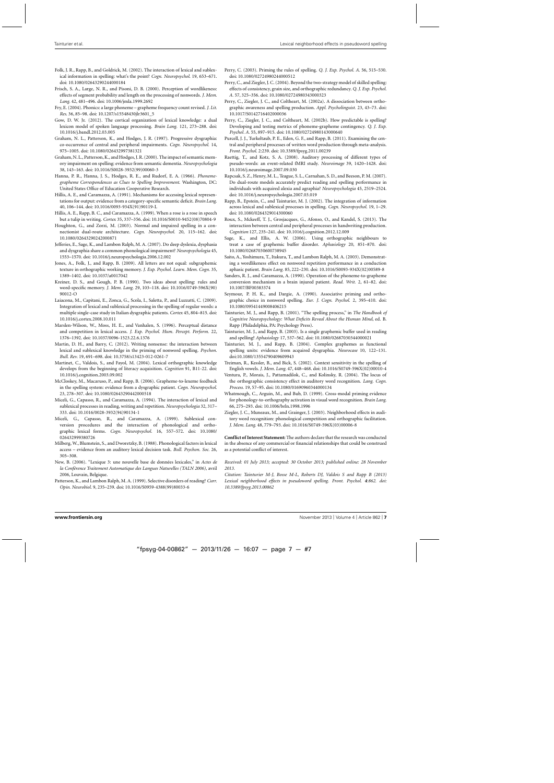- <span id="page-7-0"></span>Folk, J. R., Rapp, B., and Goldrick, M. (2002). The interaction of lexical and sublexical information in spelling: what's the point? *Cogn. Neuropsychol*. 19, 653–671. doi: 10.1080/02643290244000184
- Frisch, S. A., Large, N. R., and Pisoni, D. B. (2000). Perception of wordlikeness: effects of segment probability and length on the processing of nonwords. *J. Mem. Lang.* 42, 481–496. doi: 10.1006/jmla.1999.2692
- Fry, E. (2004). Phonics: a large phoneme grapheme frequency count revised. *J. Lit. Res*. 36, 85–98. doi: 10.1207/s15548430jlr3601\_5
- Gow, D. W. Jr. (2012). The cortical organization of lexical knowledge: a dual lexicon model of spoken language processing. *Brain Lang.* 121, 273–288. doi: 10.1016/j.bandl.2012.03.005
- Graham, N. L., Patterson, K., and Hodges, J. R. (1997). Progressive dysgraphia: co-occurrence of central and peripheral impairments. *Cogn. Neuropsychol.* 14, 975–1005. doi: 10.1080/026432997381321
- Graham, N. L., Patterson, K., and Hodges, J. R. (2000). The impact of semantic memory impairment on spelling: evidence from semantic dementia. *Neuropsychologia* 38, 143–163. doi: 10.1016/S0028-3932(99)00060-3
- Hanna, P. R., Hanna, J. S., Hodges, R. E., and Rudorf, E. A. (1966). *Phonemegrapheme Correspondences as Clues to Spelling Improvement*. Washington, DC: United States Office of Education Cooperative Research.
- Hillis, A. E., and Caramazza, A. (1991). Mechanisms for accessing lexical representations for output: evidence from a category-specific semantic deficit. *Brain Lang.* 40, 106–144. doi: 10.1016/0093-934X(91)90119-L
- Hillis, A. E., Rapp, B. C., and Caramazza, A. (1999). When a rose is a rose in speech but a tulip in writing. *Cortex* 35, 337–356. doi: 10.1016/S0010-9452(08)70804-9
- Houghton, G., and Zorzi, M. (2003). Normal and impaired spelling in a connectionist dual-route architecture. *Cogn. Neuropsychol.* 20, 115–162. doi: 10.1080/02643290242000871
- Jefferies, E., Sage, K., and Lambon Ralph, M. A. (2007). Do deep dyslexia, dysphasia and dysgraphia share a common phonological impairment? *Neuropsychologia* 45, 1553–1570. doi: 10.1016/j.neuropsychologia.2006.12.002
- Jones, A., Folk, J., and Rapp, B. (2009). All letters are not equal: subgraphemic texture in orthographic working memory. *J. Exp. Psychol. Learn. Mem. Cogn.* 35, 1389–1402. doi: 10.1037/a0017042
- Kreiner, D. S., and Gough, P. B. (1990). Two ideas about spelling: rules and word-specific memory. *J. Mem. Lang.* 29, 103–118. doi: 10.1016/0749-596X(90) 90012-O
- Laiacona, M., Capitani, E., Zonca, G., Scola, I., Saletta, P., and Luzzatti, C. (2009). Integration of lexical and sublexical processing in the spelling of regular words: a multiple single-case study in Italian dysgraphic patients. *Cortex* 45, 804–815. doi: 10.1016/j.cortex.2008.10.011
- Marslen-Wilson, W., Moss, H. E., and Vanhalen, S. (1996). Perceptual distance and competition in lexical access. *J. Exp. Psychol. Hum. Percept. Perform.* 22, 1376–1392. doi: 10.1037/0096-1523.22.6.1376
- Martin, D. H., and Barry, C. (2012). Writing nonsense: the interaction between lexical and sublexical knowledge in the priming of nonword spelling. *Psychon. Bull. Rev.* 19, 691–698. doi: 10.3758/s13423-012-0261-7
- Martinet, C., Valdois, S., and Fayol, M. (2004). Lexical orthographic knowledge develops from the beginning of literacy acquisition. *Cognition* 91, B11-22. doi: 10.1016/j.cognition.2003.09.002
- McCloskey, M., Macaruso, P., and Rapp, B. (2006). Grapheme-to-lexeme feedback in the spelling system: evidence from a dysgraphic patient. *Cogn. Neuropsychol.* 23, 278–307. doi: 10.1080/02643290442000518
- Miceli, G., Capasso, R., and Caramazza, A. (1994). The interaction of lexical and sublexical processes in reading, writing and repetition. *Neuropsychologia* 32, 317– 333. doi: 10.1016/0028-3932(94)90134-1
- Miceli, G., Capasso, R., and Caramazza, A. (1999). Sublexical conversion procedures and the interaction of phonological and orthographic lexical forms. *Cogn. Neuropsychol.* 16, 557–572. doi: 10.1080/ 026432999380726
- Milberg,W., Blumstein, S., and Dworetzky, B. (1988). Phonological factors in lexical access – evidence from an auditory lexical decision task. *Bull. Psychon. Soc.* 26, 305–308.
- New, B. (2006). "Lexique 3: une nouvelle base de données lexicales," in *Actes de la Conférence Traitement Automatique des Langues Naturelles (TALN 2006)*, avril 2006, Louvain, Belgique.
- Patterson, K., and Lambon Ralph, M. A. (1999). Selective disorders of reading? *Curr. Opin. Neurobiol*. 9, 235–239. doi: 10.1016/S0959-4388(99)80033-6
- Perry, C. (2003). Priming the rules of spelling. *Q. J. Exp. Psychol. A.* 56, 515–530. doi: 10.1080/02724980244000512
- Perry, C., and Ziegler, J. C. (2004). Beyond the two-strategy model of skilled spelling: effects of consistency, grain size, and orthographic redundancy. *Q. J. Exp. Psychol. A.* 57, 325–356. doi: 10.1080/02724980343000323
- Perry, C., Ziegler, J. C., and Coltheart, M. (2002a). A dissociation between orthographic awareness and spelling production. *Appl. Psycholinguist.* 23, 43–73. doi: 10.1017/S0142716402000036
- Perry, C., Ziegler, J. C., and Coltheart, M. (2002b). How predictable is spelling? Developing and testing metrics of phoneme-grapheme contingency. *Q. J. Exp. Psychol. A.* 55, 897–915. doi: 10.1080/02724980143000640
- Purcell, J. J., Turkeltaub, P. E., Eden, G. F., and Rapp, B. (2011). Examining the central and peripheral processes of written word production through meta-analysis. *Front. Psychol.* 2:239. doi: 10.3389/fpsyg.2011.00239
- Raettig, T., and Kotz, S. A. (2008). Auditory processing of different types of pseudo-words: an event-related fMRI study. *Neuroimage* 39, 1420–1428. doi: 10.1016/j.neuroimage.2007.09.030
- Rapcsak, S. Z., Henry, M. L., Teague, S. L., Carnahan, S. D., and Beeson, P. M. (2007). Do dual-route models accurately predict reading and spelling performance in individuals with acquired alexia and agraphia? *Neuropsychologia* 45, 2519–2524. doi: 10.1016/j.neuropsychologia.2007.03.019
- Rapp, B., Epstein, C., and Tainturier, M. J. (2002). The integration of information across lexical and sublexical processes in spelling. *Cogn. Neuropsychol.* 19, 1–29. doi: 10.1080/0264329014300060
- Roux, S., Mckeeff, T. J., Grosjacques, G., Afonso, O., and Kandel, S. (2013). The interaction between central and peripheral processes in handwriting production. *Cognition* 127, 235–241. doi: 10.1016/j.cognition.2012.12.009
- Sage, K., and Ellis, A. W. (2006). Using orthographic neighbours to treat a case of graphemic buffer disorder. *Aphasiology* 20, 851–870. doi: 10.1080/02687030600738945
- Saito, A., Yoshimura, T., Itakura, T., and Lambon Ralph, M. A. (2003). Demonstrating a wordlikeness effect on nonword repetition performance in a conduction aphasic patient. *Brain Lang.* 85, 222–230. doi: 10.1016/S0093-934X(02)00589-8
- Sanders, R. J., and Caramazza, A. (1990). Operation of the phoneme-to-grapheme conversion mechanism in a brain injured patient. *Read. Writ.* 2, 61–82. doi: 10.1007/BF00383374
- Seymour, P. H. K., and Dargie, A. (1990). Associative priming and orthographic choice in nonword spelling. *Eur. J. Cogn. Psychol.* 2, 395–410. doi: 10.1080/09541449008406215
- Tainturier, M. J., and Rapp, B. (2001). "The spelling process," in *The Handbook of Cognitive Neuropsychology: What Deficits Reveal About the Human Mind*, ed. B. Rapp (Philadelphia, PA: Psychology Press).
- Tainturier, M. J., and Rapp, B. (2003). Is a single graphemic buffer used in reading and spelling? *Aphasiology* 17, 537–562. doi: 10.1080/02687030344000021
- Tainturier, M. J., and Rapp, B. (2004). Complex graphemes as functional spelling units: evidence from acquired dysgraphia. *Neurocase* 10, 122–131. doi:10.1080/13554790409609943
- Treiman, R., Kessler, B., and Bick, S. (2002). Context sensitivity in the spelling of English vowels. *J. Mem. Lang.* 47, 448–468. doi: 10.1016/S0749-596X(02)00010-4
- Ventura, P., Morais, J., Pattamadilok, C., and Kolinsky, R. (2004). The locus of the orthographic consistency effect in auditory word recognition. *Lang. Cogn. Process.* 19, 57–95. doi: 10.1080/01690960344000134
- Whatmough, C., Arguin, M., and Bub, D. (1999). Cross-modal priming evidence for phonology-to-orthography activation in visual word recognition. *Brain Lang.* 66, 275–293. doi: 10.1006/brln.1998.1996
- Ziegler, J. C., Muneaux, M., and Grainger, J. (2003). Neighborhood effects in auditory word recognition: phonological competition and orthographic facilitation. *J. Mem. Lang*. 48, 779–793. doi: 10.1016/S0749-596X(03)00006-8

**Conflict of Interest Statement:** The authors declare that the research was conducted in the absence of any commercial or financial relationships that could be construed as a potential conflict of interest.

*Received: 01 July 2013; accepted: 30 October 2013; published online: 28 November 2013.*

*Citation: Tainturier M-J, Bosse M-L, Roberts DJ, Valdois S and Rapp B (2013) Lexical neighborhood effects in pseudoword spelling. Front. Psychol. 4:862. [doi:](http://dx.doi.org/10.3389/fpsyg.2013.00862) [10.3389/fpsyg.2013.00862](http://dx.doi.org/10.3389/fpsyg.2013.00862)*